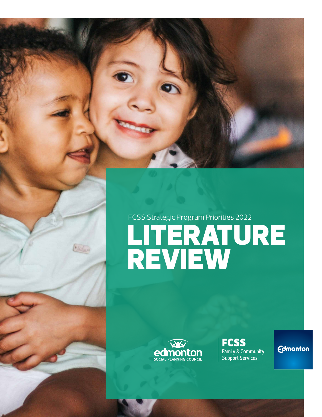# FCSS Strategic Program Priorities 2022 LITERATURE REVIEW



**FCSS** Family & Community<br>Support Services

**Edmonton**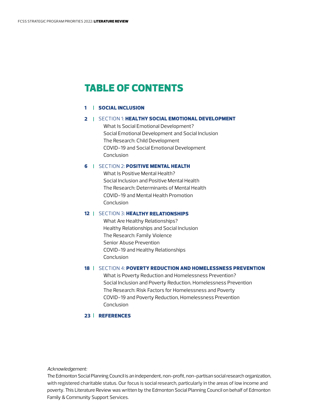# TABLE OF CONTENTS

### 1 [SOCIAL INCLUSION](#page-2-0)

### 2 | SECTION 1: HEALTHY S[OCIAL EMOTIONAL DEVEL](#page-3-0)OPMENT

[What Is Social Emotional Development?](#page-3-0)  [Social Emotional Development and Social Inclusion](#page-3-0) [The Research: Child Development](#page-4-0) [COVID-19 and Social Emotional Development](#page-5-0) [Conclusion](#page-6-0)

### **6 | SECTION 2: [POSITIVE MENTAL HEALTH](#page-7-0)**

[What Is Positive Mental Health?](#page-7-0) [Social Inclusion and Positive Mental Health](#page-7-0) [The Research: Determinants of Mental Health](#page-7-0) [COVID-19 and Mental Health Promotion](#page-11-0) [Conclusion](#page-12-0)

### 12 | SECTION 3: [HEALTHY RELATIONSHIPS](#page-13-0)

[What Are Healthy Relationships?](#page-13-0) [Healthy Relationships and Social Inclusion](#page-13-0)  [The Research: Family Violence](#page-13-0) [Senior Abuse Prevention](#page-17-0) [COVID-19 and Healthy Relationships](#page-18-0) [Conclusion](#page-18-0)

#### 18 | SECTION 4: [POVERTY REDUCTION AND HOMELESSNESS PREVENTION](#page-19-0)

[What is Poverty Reduction and Homelessness Prevention?](#page-19-0)  [Social Inclusion and Poverty Reduction, Homelessness Prevention](#page-19-0)  [The Research: Risk Factors for Homelessness and Poverty](#page-20-0) [COVID-19 and Poverty Reduction, Homelessness Prevention](#page-22-0) [Conclusion](#page-23-0)

### 23 [REFERENCES](#page-24-0)

*Acknowledgement:*

The Edmonton Social Planning Council is an independent, non-profit, non-partisan social research organization, with registered charitable status. Our focus is social research, particularly in the areas of low income and poverty. This Literature Review was written by the Edmonton Social Planning Council on behalf of Edmonton Family & Community Support Services.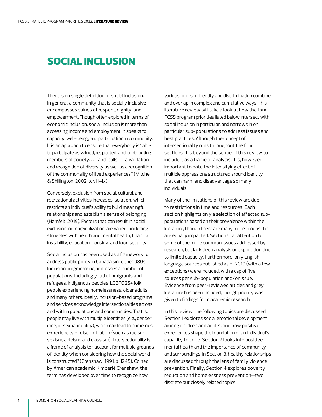# <span id="page-2-0"></span>SOCIAL INCLUSION

There is no single definition of social inclusion. In general, a community that is socially inclusive encompasses values of respect, dignity, and empowerment. Though often explored in terms of economic inclusion, social inclusion is more than accessing income and employment; it speaks to capacity, well-being, and participation in community. It is an approach to ensure that everybody is "able to participate as valued, respected, and contributing members of society. . . . [and] calls for a validation and recognition of diversity as well as a recognition of the commonality of lived experiences" (Mitchell & Shillington, 2002, p. viii–ix).

Conversely, exclusion from social, cultural, and recreational activities increases isolation, which restricts an individual's ability to build meaningful relationships and establish a sense of belonging (Hamfelt, 2019). Factors that can result in social exclusion, or marginalization, are varied—including struggles with health and mental health, financial instability, education, housing, and food security.

Social inclusion has been used as a framework to address public policy in Canada since the 1980s. Inclusion programming addresses a number of populations, including youth, immigrants and refugees, Indigenous peoples, LGBTQ2S+ folk, people experiencing homelessness, older adults, and many others. Ideally, inclusion-based programs and services acknowledge intersectionalities across and within populations and communities. That is, people may live with multiple identities (e.g., gender, race, or sexual identity), which can lead to numerous experiences of discrimination (such as racism, sexism, ableism, and classism). Intersectionality is a frame of analysis to "account for multiple grounds of identity when considering how the social world is constructed" (Crenshaw, 1991, p. 1245). Coined by American academic Kimberlé Crenshaw, the term has developed over time to recognize how

various forms of identity and discrimination combine and overlap in complex and cumulative ways. This literature review will take a look at how the four FCSS program priorities listed below intersect with social inclusion in particular, and narrows in on particular sub-populations to address issues and best practices. Although the concept of intersectionality runs throughout the four sections, it is beyond the scope of this review to include it as a frame of analysis. It is, however, important to note the intensifying effect of multiple oppressions structured around identity that can harm and disadvantage so many individuals.

Many of the limitations of this review are due to restrictions in time and resources. Each section highlights only a selection of affected subpopulations based on their prevalence within the literature, though there are many more groups that are equally impacted. Sections call attention to some of the more common issues addressed by research, but lack deep analysis or exploration due to limited capacity. Furthermore, only English language sources published as of 2010 (with a few exceptions) were included, with a cap of five sources per sub-population and/or issue. Evidence from peer-reviewed articles and grey literature has been included, though priority was given to findings from academic research.

In this review, the following topics are discussed: Section 1 explores social emotional development among children and adults, and how positive experiences shape the foundation of an individual's capacity to cope. Section 2 looks into positive mental health and the importance of community and surroundings. In Section 3, healthy relationships are discussed through the lens of family violence prevention. Finally, Section 4 explores poverty reduction and homelessness prevention—two discrete but closely related topics.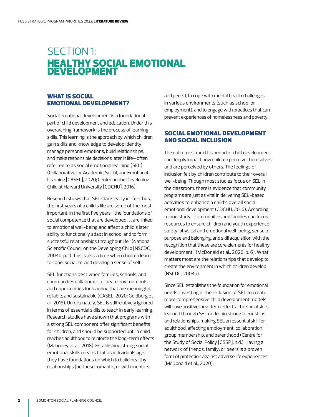# <span id="page-3-0"></span>SECTION 1: HEALTHY SOCIAL EMOTIONAL DEVELOPMENT

# WHAT IS SOCIAL EMOTIONAL DEVELOPMENT?

Social emotional development is a foundational part of child development and education. Under this overarching framework is the process of learning skills. This learning is the approach by which children gain skills and knowledge to develop identity, manage personal emotions, build relationships, and make responsible decisions later in life—often referred to as social emotional learning (SEL) (Collaborative for Academic, Social, and Emotional Learning [CASEL], 2020; Center on the Developing Child at Harvard University [CDCHU], 2016).

Research shows that SEL starts early in life—thus, the first years of a child's life are some of the most important. In the first five years, "the foundations of social competence that are developed . . . are linked to emotional well-being and affect a child's later ability to functionally adapt in school and to form successful relationships throughout life" (National Scientific Council on the Developing Child [NSCDC], 2004b, p. 1). This is also a time when children learn to cope, socialize, and develop a sense of self.

SEL functions best when families, schools, and communities collaborate to create environments and opportunities for learning that are meaningful, reliable, and sustainable (CASEL, 2020; Goldberg et al., 2018). Unfortunately, SEL is still relatively ignored in terms of essential skills to teach in early learning. Research studies have shown that programs with a strong SEL component offer significant benefits for children, and should be supported until a child reaches adulthood to reinforce the long-term effects (Mahoney et al., 2018). Establishing strong social emotional skills means that as individuals age, they have foundations on which to build healthy relationships (be these romantic, or with mentors

and peers), to cope with mental health challenges in various environments (such as school or employment), and to engage with practices that can prevent experiences of homelessness and poverty.

# SOCIAL EMOTIONAL DEVELOPMENT AND SOCIAL INCLUSION

The outcomes from this period of child development can deeply impact how children perceive themselves and are perceived by others. The feelings of inclusion felt by children contribute to their overall well-being. Though most studies focus on SEL in the classroom, there is evidence that community programs are just as vital in delivering SEL-based activities to enhance a child's overall social emotional development (CDCHU, 2016). According to one study, "communities and families can focus resources to ensure children and youth experience safety, physical and emotional well-being, sense of purpose and belonging, and skill acquisition with the recognition that these are core elements for healthy development" (McDonald et al., 2020, p. 6). What matters most are the relationships that develop to create the environment in which children develop (NSCDC, 2004a).

Since SEL establishes the foundation for emotional needs, investing in the inclusion of SEL to create more comprehensive child development models will have positive long-term effects. The social skills learned through SEL underpin strong friendships and relationships, making SEL an essential skill for adulthood, affecting employment, collaboration, group membership, and parenthood (Centre for the Study of Social Policy [CSSP], n.d.). Having a network of friends, family, or peers is a proven form of protection against adverse life experiences (McDonald et al., 2020).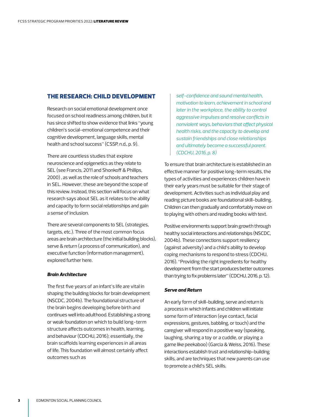# <span id="page-4-0"></span>THE RESEARCH: CHILD DEVELOPMENT

Research on social emotional development once focused on school readiness among children, but it has since shifted to show evidence that links "young children's social-emotional competence and their cognitive development, language skills, mental health and school success" (CSSP, n.d., p. 9).

There are countless studies that explore neuroscience and epigenetics as they relate to SEL (see Francis, 2011 and Shonkoff & Phillips, 2000) , as well as the role of schools and teachers in SEL. However, these are beyond the scope of this review. Instead, this section will focus on what research says about SEL as it relates to the ability and capacity to form social relationships and gain a sense of inclusion.

There are several components to SEL (strategies, targets, etc.). Three of the most common focus areas are brain architecture (the initial building blocks), serve & return (a process of communication), and executive function (information management), explored further here.

#### *Brain Architecture*

The first five years of an infant's life are vital in shaping the building blocks for brain development (NSCDC, 2004b). The foundational structure of the brain begins developing before birth and continues well into adulthood. Establishing a strong or weak foundation on which to build long-term structure affects outcomes in health, learning, and behaviour (CDCHU, 2016); essentially, the brain scaffolds learning experiences in all areas of life. This foundation will almost certainly affect outcomes such as

*self-confidence and sound mental health, motivation to learn, achievement in school and later in the workplace, the ability to control aggressive impulses and resolve conflicts in nonviolent ways, behaviors that affect physical health risks, and the capacity to develop and sustain friendships and close relationships and ultimately become a successful parent. (CDCHU, 2016, p. 8)* 

To ensure that brain architecture is established in an effective manner for positive long-term results, the types of activities and experiences children have in their early years must be suitable for their stage of development. Activities such as individual play and reading picture books are foundational skill-building. Children can then gradually and comfortably move on to playing with others and reading books with text.

Positive environments support brain growth through healthy social interactions and relationships (NSCDC, 2004b). These connections support resiliency (against adversity) and a child's ability to develop coping mechanisms to respond to stress (CDCHU, 2016). "Providing the right ingredients for healthy development from the start produces better outcomes than trying to fix problems later" (CDCHU, 2016, p. 12).

#### *Serve and Return*

An early form of skill-building, serve and return is a process in which infants and children will initiate some form of interaction (eye contact, facial expressions, gestures, babbling, or touch) and the caregiver will respond in a positive way (speaking, laughing, sharing a toy or a cuddle, or playing a game like peekaboo) (Garcia & Weiss, 2016). These interactions establish trust and relationship-building skills, and are techniques that new parents can use to promote a child's SEL skills.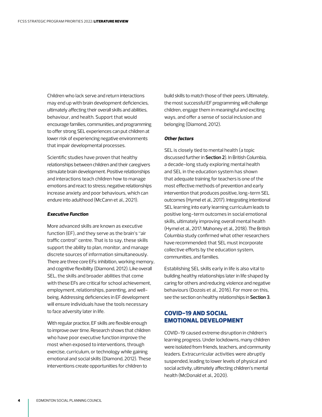<span id="page-5-0"></span>Children who lack serve and return interactions may end up with brain development deficiencies, ultimately affecting their overall skills and abilities, behaviour, and health. Support that would encourage families, communities, and programming to offer strong SEL experiences can put children at lower risk of experiencing negative environments that impair developmental processes.

Scientific studies have proven that healthy relationships between children and their caregivers stimulate brain development. Positive relationships and interactions teach children how to manage emotions and react to stress; negative relationships increase anxiety and poor behaviours, which can endure into adulthood (McCann et al., 2021).

#### *Executive Function*

More advanced skills are known as executive function (EF), and they serve as the brain's "air traffic control" centre. That is to say, these skills support the ability to plan, monitor, and manage discrete sources of information simultaneously. There are three core EFs: inhibition, working memory, and cognitive flexibility (Diamond, 2012). Like overall SEL, the skills and broader abilities that come with these EFs are critical for school achievement, employment, relationships, parenting, and wellbeing. Addressing deficiencies in EF development will ensure individuals have the tools necessary to face adversity later in life.

With regular practice, EF skills are flexible enough to improve over time. Research shows that children who have poor executive function improve the most when exposed to interventions, through exercise, curriculum, or technology while gaining emotional and social skills (Diamond, 2012). These interventions create opportunities for children to

build skills to match those of their peers. Ultimately, the most successful EF programming will challenge children, engage them in meaningful and exciting ways, and offer a sense of social inclusion and belonging (Diamond, 2012).

#### *Other factors*

SEL is closely tied to mental health (a topic discussed further in **Section 2**). In British Columbia, a decade-long study exploring mental health and SEL in the education system has shown that adequate training for teachers is one of the most effective methods of prevention and early intervention that produces positive, long-term SEL outcomes (Hymel et al., 2017). Integrating intentional SEL learning into early learning curriculum leads to positive long-term outcomes in social emotional skills, ultimately improving overall mental health (Hymel et al., 2017; Mahoney et al., 2018). The British Columbia study confirmed what other researchers have recommended: that SEL must incorporate collective efforts by the education system, communities, and families.

Establishing SEL skills early in life is also vital to building healthy relationships later in life shaped by caring for others and reducing violence and negative behaviours (Dozois et al., 2016). For more on this, see the section on healthy relationships in **Section 3**.

# COVID-19 AND SOCIAL EMOTIONAL DEVELOPMENT

COVID-19 caused extreme disruption in children's learning progress. Under lockdowns, many children were isolated from friends, teachers, and community leaders. Extracurricular activities were abruptly suspended, leading to lower levels of physical and social activity, ultimately affecting children's mental health (McDonald et al., 2020).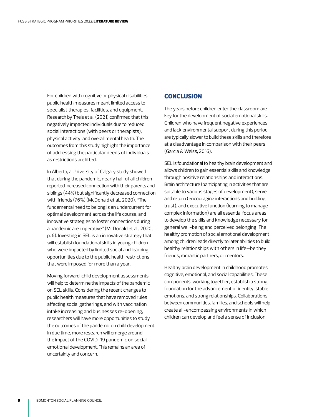<span id="page-6-0"></span>For children with cognitive or physical disabilities, public health measures meant limited access to specialist therapies, facilities, and equipment. Research by Theis et al. (2021) confirmed that this negatively impacted individuals due to reduced social interactions (with peers or therapists), physical activity, and overall mental health. The outcomes from this study highlight the importance of addressing the particular needs of individuals as restrictions are lifted.

In Alberta, a University of Calgary study showed that during the pandemic, nearly half of all children reported increased connection with their parents and siblings (44%) but significantly decreased connection with friends (76%) (McDonald et al., 2020). "The fundamental need to belong is an undercurrent for optimal development across the life course, and innovative strategies to foster connections during a pandemic are imperative" (McDonald et al., 2020, p. 6). Investing in SEL is an innovative strategy that will establish foundational skills in young children who were impacted by limited social and learning opportunities due to the public health restrictions that were imposed for more than a year.

Moving forward, child development assessments will help to determine the impacts of the pandemic on SEL skills. Considering the recent changes to public health measures that have removed rules affecting social gatherings, and with vaccination intake increasing and businesses re-opening, researchers will have more opportunities to study the outcomes of the pandemic on child development. In due time, more research will emerge around the impact of the COVID-19 pandemic on social emotional development. This remains an area of uncertainty and concern.

# **CONCLUSION**

The years before children enter the classroom are key for the development of social emotional skills. Children who have frequent negative experiences and lack environmental support during this period are typically slower to build these skills and therefore at a disadvantage in comparison with their peers (Garcia & Weiss, 2016).

SEL is foundational to healthy brain development and allows children to gain essential skills and knowledge through positive relationships and interactions. Brain architecture (participating in activities that are suitable to various stages of development), serve and return (encouraging interactions and building trust), and executive function (learning to manage complex information) are all essential focus areas to develop the skills and knowledge necessary for general well-being and perceived belonging. The healthy promotion of social emotional development among children leads directly to later abilities to build healthy relationships with others in life—be they friends, romantic partners, or mentors.

Healthy brain development in childhood promotes cognitive, emotional, and social capabilities. These components, working together, establish a strong foundation for the advancement of identity, stable emotions, and strong relationships. Collaborations between communities, families, and schools will help create all-encompassing environments in which children can develop and feel a sense of inclusion.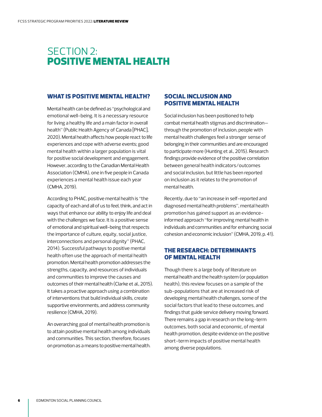# <span id="page-7-0"></span>SECTION 2: POSITIVE MENTAL HEALTH

# WHAT IS POSITIVE MENTAL HEALTH?

Mental health can be defined as "psychological and emotional well-being. It is a necessary resource for living a healthy life and a main factor in overall health" (Public Health Agency of Canada [PHAC], 2020). Mental health affects how people react to life experiences and cope with adverse events; good mental health within a larger population is vital for positive social development and engagement. However, according to the Canadian Mental Health Association (CMHA), one in five people in Canada experiences a mental health issue each year (CMHA, 2019).

According to PHAC, positive mental health is "the capacity of each and all of us to feel, think, and act in ways that enhance our ability to enjoy life and deal with the challenges we face. It is a positive sense of emotional and spiritual well-being that respects the importance of culture, equity, social justice, interconnections and personal dignity" (PHAC, 2014). Successful pathways to positive mental health often use the approach of mental health promotion. Mental health promotion addresses the strengths, capacity, and resources of individuals and communities to improve the causes and outcomes of their mental health (Clarke et al., 2015). It takes a proactive approach using a combination of interventions that build individual skills, create supportive environments, and address community resilience (CMHA, 2019).

An overarching goal of mental health promotion is to attain positive mental health among individuals and communities. This section, therefore, focuses on promotion as a means to positive mental health.

# SOCIAL INCLUSION AND POSITIVE MENTAL HEALTH

Social inclusion has been positioned to help combat mental health stigmas and discrimination through the promotion of inclusion, people with mental health challenges feel a stronger sense of belonging in their communities and are encouraged to participate more (Hunting et al., 2015). Research findings provide evidence of the positive correlation between general health indicators/outcomes and social inclusion, but little has been reported on inclusion as it relates to the promotion of mental health.

Recently, due to "an increase in self-reported and diagnosed mental health problems", mental health promotion has gained support as an evidenceinformed approach "for improving mental health in individuals and communities and for enhancing social cohesion and economic inclusion" (CMHA, 2019, p. 41).

# THE RESEARCH: DETERMINANTS OF MENTAL HEALTH

Though there is a large body of literature on mental health and the health system (or population health), this review focuses on a sample of the sub-populations that are at increased risk of developing mental health challenges, some of the social factors that lead to these outcomes, and findings that guide service delivery moving forward. There remains a gap in research on the long-term outcomes, both social and economic, of mental health promotion, despite evidence on the positive short-term impacts of positive mental health among diverse populations.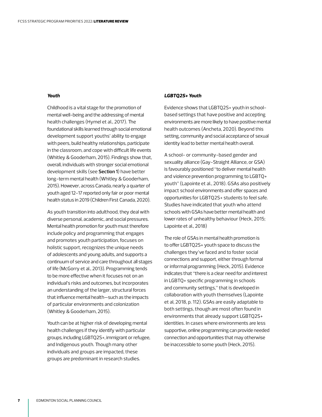#### *Youth*

Childhood is a vital stage for the promotion of mental well-being and the addressing of mental health challenges (Hymel et al., 2017). The foundational skills learned through social emotional development support youths' ability to engage with peers, build healthy relationships, participate in the classroom, and cope with difficult life events (Whitley & Gooderham, 2015). Findings show that, overall, individuals with stronger social emotional development skills (see **Section 1**) have better long-term mental health (Whitley & Gooderham, 2015). However, across Canada, nearly a quarter of youth aged 12-17 reported only fair or poor mental health status in 2019 (Children First Canada, 2020).

As youth transition into adulthood, they deal with diverse personal, academic, and social pressures. Mental health promotion for youth must therefore include policy and programming that engages and promotes youth participation, focuses on holistic support, recognizes the unique needs of adolescents and young adults, and supports a continuum of service and care throughout all stages of life (McGorry et al., 2013). Programming tends to be more effective when it focuses not on an individual's risks and outcomes, but incorporates an understanding of the larger, structural forces that influence mental health—such as the impacts of particular environments and colonization (Whitley & Gooderham, 2015).

Youth can be at higher risk of developing mental health challenges if they identify with particular groups, including LGBTQ2S+, immigrant or refugee, and Indigenous youth. Though many other individuals and groups are impacted, these groups are predominant in research studies.

#### *LGBTQ2S+ Youth*

Evidence shows that LGBTQ2S+ youth in schoolbased settings that have positive and accepting environments are more likely to have positive mental health outcomes (Ancheta, 2020). Beyond this setting, community and social acceptance of sexual identity lead to better mental health overall.

A school- or community-based gender and sexuality alliance (Gay-Straight Alliance, or GSA) is favourably positioned "to deliver mental health and violence prevention programming to LGBTQ+ youth" (Lapointe et al., 2018). GSAs also positively impact school environments and offer spaces and opportunities for LGBTQ2S+ students to feel safe. Studies have indicated that youth who attend schools with GSAs have better mental health and lower rates of unhealthy behaviour (Heck, 2015; Lapointe et al., 2018)

The role of GSAs in mental health promotion is to offer LGBTQ2S+ youth space to discuss the challenges they've faced and to foster social connections and support, either through formal or informal programming (Heck, 2015). Evidence indicates that "there is a clear need for and interest in LGBTQ+ specific programming in schools and community settings," that is developed in collaboration with youth themselves (Lapointe et al, 2018, p. 112). GSAs are easily adaptable to both settings, though are most often found in environments that already support LGBTQ2S+ identities. In cases where environments are less supportive, online programming can provide needed connection and opportunities that may otherwise be inaccessible to some youth (Heck, 2015).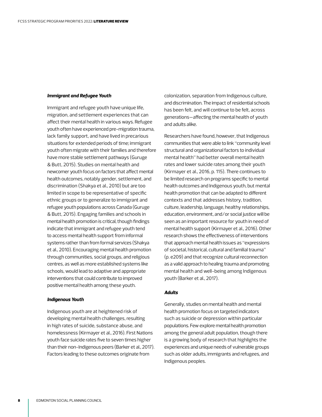#### *Immigrant and Refugee Youth*

Immigrant and refugee youth have unique life, migration, and settlement experiences that can affect their mental health in various ways. Refugee youth often have experienced pre-migration trauma, lack family support, and have lived in precarious situations for extended periods of time; immigrant youth often migrate with their families and therefore have more stable settlement pathways (Guruge & Butt, 2015). Studies on mental health and newcomer youth focus on factors that affect mental health outcomes, notably gender, settlement, and discrimination (Shakya et al., 2010) but are too limited in scope to be representative of specific ethnic groups or to generalize to immigrant and refugee youth populations across Canada (Guruge & Butt, 2015). Engaging families and schools in mental health promotion is critical, though findings indicate that immigrant and refugee youth tend to access mental health support from informal systems rather than from formal services (Shakya et al., 2010). Encouraging mental health promotion through communities, social groups, and religious centres, as well as more established systems like schools, would lead to adaptive and appropriate interventions that could contribute to improved positive mental health among these youth.

#### *Indigenous Youth*

Indigenous youth are at heightened risk of developing mental health challenges, resulting in high rates of suicide, substance abuse, and homelessness (Kirmayer et al., 2016). First Nations youth face suicide rates five to seven times higher than their non-Indigenous peers (Barker et al., 2017). Factors leading to these outcomes originate from

colonization, separation from Indigenous culture, and discrimination. The impact of residential schools has been felt, and will continue to be felt, across generations—affecting the mental health of youth and adults alike.

Researchers have found, however, that Indigenous communities that were able to link "community level structural and organizational factors to individual mental health" had better overall mental health rates and lower suicide rates among their youth (Kirmayer et al., 2016, p. 115). There continues to be limited research on programs specific to mental health outcomes and Indigenous youth, but mental health promotion that can be adapted to different contexts and that addresses history, tradition, culture, leadership, language, healthy relationships, education, environment, and/or social justice will be seen as an important resource for youth in need of mental health support (Kirmayer et al., 2016). Other research shows the effectiveness of interventions that approach mental health issues as "expressions of societal, historical, cultural and familial trauma" (p. e209) and that recognize cultural reconnection as a valid approach to healing trauma and promoting mental health and well-being among Indigenous youth (Barker et al., 2017).

### *Adults*

Generally, studies on mental health and mental health promotion focus on targeted indicators such as suicide or depression within particular populations. Few explore mental health promotion among the general adult population, though there is a growing body of research that highlights the experiences and unique needs of vulnerable groups such as older adults, immigrants and refugees, and Indigenous peoples.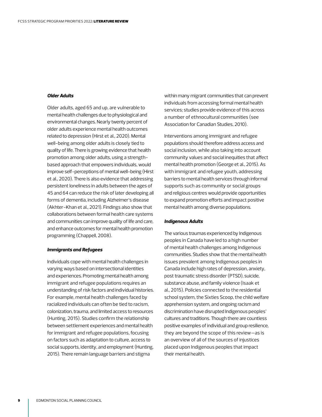#### *Older Adults*

Older adults, aged 65 and up, are vulnerable to mental health challenges due to physiological and environmental changes. Nearly twenty percent of older adults experience mental health outcomes related to depression (Hirst et al., 2020). Mental well-being among older adults is closely tied to quality of life. There is growing evidence that health promotion among older adults, using a strengthbased approach that empowers individuals, would improve self-perceptions of mental well-being (Hirst et al., 2020). There is also evidence that addressing persistent loneliness in adults between the ages of 45 and 64 can reduce the risk of later developing all forms of dementia, including Alzheimer's disease (Akhter-Khan et al., 2021). Findings also show that collaborations between formal health care systems and communities can improve quality of life and care, and enhance outcomes for mental health promotion programming (Chappell, 2008).

#### *Immigrants and Refugees*

Individuals cope with mental health challenges in varying ways based on intersectional identities and experiences. Promoting mental health among immigrant and refugee populations requires an understanding of risk factors and individual histories. For example, mental health challenges faced by racialized individuals can often be tied to racism, colonization, trauma, and limited access to resources (Hunting, 2015). Studies confirm the relationship between settlement experiences and mental health for immigrant and refugee populations, focusing on factors such as adaptation to culture, access to social supports, identity, and employment (Hunting, 2015). There remain language barriers and stigma

within many migrant communities that can prevent individuals from accessing formal mental health services; studies provide evidence of this across a number of ethnocultural communities (see Association for Canadian Studies, 2010).

Interventions among immigrant and refugee populations should therefore address access and social inclusion, while also taking into account community values and social inequities that affect mental health promotion (George et al., 2015). As with immigrant and refugee youth, addressing barriers to mental health services through informal supports such as community or social groups and religious centres would provide opportunities to expand promotion efforts and impact positive mental health among diverse populations.

#### *Indigenous Adults*

The various traumas experienced by Indigenous peoples in Canada have led to a high number of mental health challenges among Indigenous communities. Studies show that the mental health issues prevalent among Indigenous peoples in Canada include high rates of depression, anxiety, post traumatic stress disorder (PTSD), suicide, substance abuse, and family violence (Isaak et al., 2015). Policies connected to the residential school system, the Sixties Scoop, the child welfare apprehension system, and ongoing racism and discrimination have disrupted Indigenous peoples' cultures and traditions. Though there are countless positive examples of individual and group resilience, they are beyond the scope of this review—as is an overview of all of the sources of injustices placed upon Indigenous peoples that impact their mental health.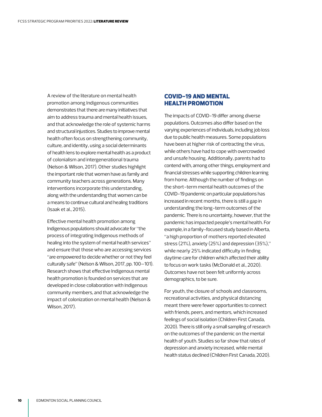<span id="page-11-0"></span>A review of the literature on mental health promotion among Indigenous communities demonstrates that there are many initiatives that aim to address trauma and mental health issues, and that acknowledge the role of systemic harms and structural injustices. Studies to improve mental health often focus on strengthening community, culture, and identity, using a social determinants of health lens to explore mental health as a product of colonialism and intergenerational trauma (Nelson & Wilson, 2017). Other studies highlight the important role that women have as family and community teachers across generations. Many interventions incorporate this understanding, along with the understanding that women can be a means to continue cultural and healing traditions (Isaak et al., 2015).

Effective mental health promotion among Indigenous populations should advocate for "the process of integrating Indigenous methods of healing into the system of mental health services" and ensure that those who are accessing services "are empowered to decide whether or not they feel culturally safe" (Nelson & Wilson, 2017, pp. 100–101). Research shows that effective Indigenous mental health promotion is founded on services that are developed in close collaboration with Indigenous community members, and that acknowledge the impact of colonization on mental health (Nelson & Wilson, 2017).

# COVID-19 AND MENTAL HEALTH PROMOTION

The impacts of COVID-19 differ among diverse populations. Outcomes also differ based on the varying experiences of individuals, including job loss due to public health measures. Some populations have been at higher risk of contracting the virus, while others have had to cope with overcrowded and unsafe housing. Additionally, parents had to contend with, among other things, employment and financial stresses while supporting children learning from home. Although the number of findings on the short-term mental health outcomes of the COVID-19 pandemic on particular populations has increased in recent months, there is still a gap in understanding the long-term outcomes of the pandemic. There is no uncertainty, however, that the pandemic has impacted people's mental health. For example, in a family-focused study based in Alberta, "a high proportion of mothers reported elevated stress (21%), anxiety (25%) and depression (35%)," while nearly 25% indicated difficulty in finding daytime care for children which affected their ability to focus on work tasks (McDonald et al., 2020). Outcomes have not been felt uniformly across demographics, to be sure.

For youth, the closure of schools and classrooms, recreational activities, and physical distancing meant there were fewer opportunities to connect with friends, peers, and mentors, which increased feelings of social isolation (Children First Canada, 2020). There is still only a small sampling of research on the outcomes of the pandemic on the mental health of youth. Studies so far show that rates of depression and anxiety increased, while mental health status declined (Children First Canada, 2020).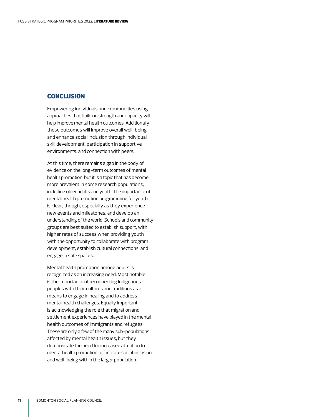# <span id="page-12-0"></span>**CONCLUSION**

Empowering individuals and communities using approaches that build on strength and capacity will help improve mental health outcomes. Additionally, these outcomes will improve overall well-being and enhance social inclusion through individual skill development, participation in supportive environments, and connection with peers.

At this time, there remains a gap in the body of evidence on the long-term outcomes of mental health promotion, but it is a topic that has become more prevalent in some research populations, including older adults and youth. The importance of mental health promotion programming for youth is clear, though, especially as they experience new events and milestones, and develop an understanding of the world. Schools and community groups are best suited to establish support, with higher rates of success when providing youth with the opportunity to collaborate with program development, establish cultural connections, and engage in safe spaces.

Mental health promotion among adults is recognized as an increasing need. Most notable is the importance of reconnecting Indigenous peoples with their cultures and traditions as a means to engage in healing and to address mental health challenges. Equally important is acknowledging the role that migration and settlement experiences have played in the mental health outcomes of immigrants and refugees. These are only a few of the many sub-populations affected by mental health issues, but they demonstrate the need for increased attention to mental health promotion to facilitate social inclusion and well-being within the larger population.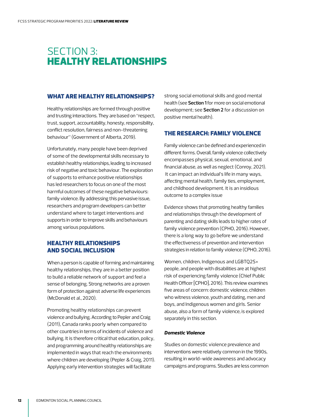# <span id="page-13-0"></span>SECTION 3: HEALTHY RELATIONSHIPS

# WHAT ARE HEALTHY RELATIONSHIPS?

Healthy relationships are formed through positive and trusting interactions. They are based on "respect, trust, support, accountability, honesty, responsibility, conflict resolution, fairness and non-threatening behaviour" (Government of Alberta, 2019).

Unfortunately, many people have been deprived of some of the developmental skills necessary to establish healthy relationships, leading to increased risk of negative and toxic behaviour. The exploration of supports to enhance positive relationships has led researchers to focus on one of the most harmful outcomes of these negative behaviours: family violence. By addressing this pervasive issue, researchers and program developers can better understand where to target interventions and supports in order to improve skills and behaviours among various populations.

# HEALTHY RELATIONSHIPS AND SOCIAL INCLUSION

When a person is capable of forming and maintaining healthy relationships, they are in a better position to build a reliable network of support and feel a sense of belonging. Strong networks are a proven form of protection against adverse life experiences (McDonald et al., 2020).

Promoting healthy relationships can prevent violence and bullying. According to Pepler and Craig (2011), Canada ranks poorly when compared to other countries in terms of incidents of violence and bullying. It is therefore critical that education, policy, and programming around healthy relationships are implemented in ways that reach the environments where children are developing (Pepler & Craig, 2011). Applying early intervention strategies will facilitate

strong social emotional skills and good mental health (see **Section 1** for more on social emotional development; see **Section 2** for a discussion on positive mental health).

# THE RESEARCH: FAMILY VIOLENCE

Family violence can be defined and experienced in different forms. Overall, family violence collectively encompasses physical, sexual, emotional, and financial abuse, as well as neglect (Conroy, 2021). It can impact an individual's life in many ways, affecting mental health, family ties, employment, and childhood development. It is an insidious outcome to a complex issue

Evidence shows that promoting healthy families and relationships through the development of parenting and dating skills leads to higher rates of family violence prevention (CPHO, 2016). However, there is a long way to go before we understand the effectiveness of prevention and intervention strategies in relation to family violence (CPHO, 2016).

Women, children, Indigenous and LGBTQ2S+ people, and people with disabilities are at highest risk of experiencing family violence (Chief Public Health Officer [CPHO], 2016). This review examines five areas of concern: domestic violence, children who witness violence, youth and dating, men and boys, and Indigenous women and girls. Senior abuse, also a form of family violence, is explored separately in this section.

#### *Domestic Violence*

Studies on domestic violence prevalence and interventions were relatively common in the 1990s, resulting in world-wide awareness and advocacy campaigns and programs. Studies are less common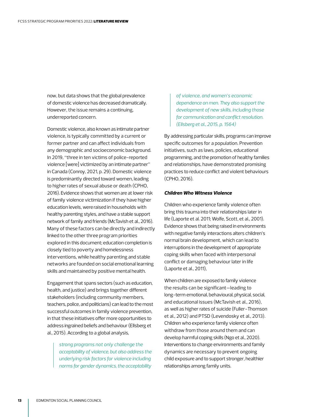now, but data shows that the global prevalence of domestic violence has decreased dramatically. However, the issue remains a continuing, underreported concern.

Domestic violence, also known as intimate partner violence, is typically committed by a current or former partner and can affect individuals from any demographic and socioeconomic background. In 2019, "three in ten victims of police-reported violence [were] victimized by an intimate partner" in Canada (Conroy, 2021, p. 29). Domestic violence is predominantly directed toward women, leading to higher rates of sexual abuse or death (CPHO, 2016). Evidence shows that women are at lower risk of family violence victimization if they have higher education levels, were raised in households with healthy parenting styles, and have a stable support network of family and friends (McTavish et al., 2016). Many of these factors can be directly and indirectly linked to the other three program priorities explored in this document; education completion is closely tied to poverty and homelessness interventions, while healthy parenting and stable networks are founded on social emotional learning skills and maintained by positive mental health.

Engagement that spans sectors (such as education, health, and justice) and brings together different stakeholders (including community members, teachers, police, and politicians) can lead to the most successful outcomes in family violence prevention, in that these initiatives offer more opportunities to address ingrained beliefs and behaviour (Ellsberg et al., 2015). According to a global analysis,

> *strong programs not only challenge the acceptability of violence, but also address the underlying risk factors for violence including norms for gender dynamics, the acceptability*

*of violence, and women's economic dependence on men. They also support the development of new skills, including those for communication and conflict resolution. (Ellsberg et al., 2015, p. 1564)* 

By addressing particular skills, programs can improve specific outcomes for a population. Prevention initiatives, such as laws, policies, educational programming, and the promotion of healthy families and relationships, have demonstrated promising practices to reduce conflict and violent behaviours (CPHO, 2016).

#### *Children Who Witness Violence*

Children who experience family violence often bring this trauma into their relationships later in life (Laporte et al. 2011; Wolfe, Scott, et al., 2001). Evidence shows that being raised in environments with negative family interactions alters children's normal brain development, which can lead to interruptions in the development of appropriate coping skills when faced with interpersonal conflict or damaging behaviour later in life (Laporte et al., 2011),

When children are exposed to family violence the results can be significant—leading to long-term emotional, behavioural, physical, social, and educational issues (McTavish et al., 2016), as well as higher rates of suicide (Fuller-Thomson et al., 2012) and PTSD (Levendosky et al., 2013). Children who experience family violence often withdraw from those around them and can develop harmful coping skills (Ngo et al., 2020). Interventions to change environments and family dynamics are necessary to prevent ongoing child exposure and to support stronger, healthier relationships among family units.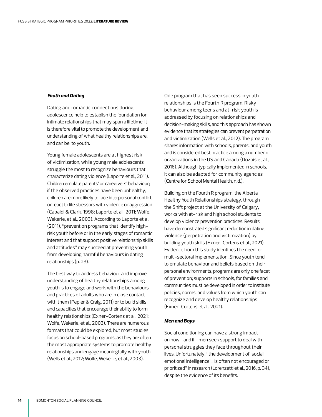#### *Youth and Dating*

Dating and romantic connections during adolescence help to establish the foundation for intimate relationships that may span a lifetime. It is therefore vital to promote the development and understanding of what healthy relationships are, and can be, to youth.

Young female adolescents are at highest risk of victimization, while young male adolescents struggle the most to recognize behaviours that characterize dating violence (Laporte et al., 2011). Children emulate parents' or caregivers' behaviour; if the observed practices have been unhealthy, children are more likely to face interpersonal conflict or react to life stressors with violence or aggression (Capaldi & Clark, 1998; Laporte et al., 2011; Wolfe, Wekerle, et al., 2003). According to Laporte et al. (2011), "prevention programs that identify highrisk youth before or in the early stages of romantic interest and that support positive relationship skills and attitudes" may succeed at preventing youth from developing harmful behaviours in dating relationships (p. 23).

The best way to address behaviour and improve understanding of healthy relationships among youth is to engage and work with the behaviours and practices of adults who are in close contact with them (Pepler & Craig, 2011) or to build skills and capacities that encourage their ability to form healthy relationships (Exner-Cortens et al., 2021; Wolfe, Wekerle, et al., 2003). There are numerous formats that could be explored, but most studies focus on school-based programs, as they are often the most appropriate systems to promote healthy relationships and engage meaningfully with youth (Wells et al., 2012; Wolfe, Wekerle, et al., 2003).

One program that has seen success in youth relationships is the Fourth R program. Risky behaviour among teens and at-risk youth is addressed by focusing on relationships and decision-making skills, and this approach has shown evidence that its strategies can prevent perpetration and victimization (Wells et al., 2012). The program shares information with schools, parents, and youth and is considered best practice among a number of organizations in the US and Canada (Dozois et al., 2016). Although typically implemented in schools, it can also be adapted for community agencies (Centre for School Mental Health, n.d.).

Building on the Fourth R program, the Alberta Healthy Youth Relationships strategy, through the Shift project at the University of Calgary, works with at-risk and high school students to develop violence prevention practices. Results have demonstrated significant reduction in dating violence (perpetration and victimization) by building youth skills (Exner-Cortens et al., 2021). Evidence from this study identifies the need for multi-sectoral implementation. Since youth tend to emulate behaviour and beliefs based on their personal environments, programs are only one facet of prevention; supports in schools, for families and communities must be developed in order to institute policies, norms, and values from which youth can recognize and develop healthy relationships (Exner-Cortens et al., 2021).

#### *Men and Boys*

Social conditioning can have a strong impact on how—and if—men seek support to deal with personal struggles they face throughout their lives. Unfortunately, "the development of 'social emotional intelligence'… is often not encouraged or prioritized" in research (Lorenzetti et al., 2016, p. 34), despite the evidence of its benefits.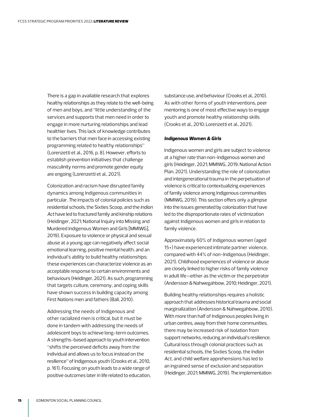There is a gap in available research that explores healthy relationships as they relate to the well-being of men and boys, and "little understanding of the services and supports that men need in order to engage in more nurturing relationships and lead healthier lives. This lack of knowledge contributes to the barriers that men face in accessing existing programming related to healthy relationships" (Lorenzetti et al., 2016, p. 8). However, efforts to establish prevention initiatives that challenge masculinity norms and promote gender equity are ongoing (Lorenzetti et al., 2021).

Colonization and racism have disrupted family dynamics among Indigenous communities in particular. The impacts of colonial policies such as residential schools, the Sixties Scoop, and the *Indian Act* have led to fractured family and kinship relations (Heidinger, 2021; National Inquiry into Missing and Murdered Indigenous Women and Girls [MMIWG], 2019). Exposure to violence or physical and sexual abuse at a young age can negatively affect social emotional learning, positive mental health, and an individual's ability to build healthy relationships; these experiences can characterize violence as an acceptable response to certain environments and behaviours (Heidinger, 2021). As such, programming that targets culture, ceremony, and coping skills have shown success in building capacity among First Nations men and fathers (Ball, 2010).

Addressing the needs of Indigenous and other racialized men is critical, but it must be done in tandem with addressing the needs of adolescent boys to achieve long-term outcomes. A strengths-based approach to youth intervention "shifts the perceived deficits away from the individual and allows us to focus instead on the resilience" of Indigenous youth (Crooks et al., 2010, p. 161). Focusing on youth leads to a wide range of positive outcomes later in life related to education, substance use, and behaviour (Crooks et al., 2010). As with other forms of youth interventions, peer mentoring is one of most effective ways to engage youth and promote healthy relationship skills (Crooks et al., 2010; Lorenzetti et al., 2021).

#### *Indigenous Women & Girls*

Indigenous women and girls are subject to violence at a higher rate than non-Indigenous women and girls (Heidinger, 2021; MMIWG, 2019; National Action Plan, 2021). Understanding the role of colonization and intergenerational trauma in the perpetuation of violence is critical to contextualizing experiences of family violence among Indigenous communities (MMIWG, 2019). This section offers only a glimpse into the issues generated by colonization that have led to the disproportionate rates of victimization against Indigenous women and girls in relation to family violence.

Approximately 60% of Indigenous women (aged 15+) have experienced intimate partner violence, compared with 44% of non-Indigenous (Heidinger, 2021). Childhood experiences of violence or abuse are closely linked to higher risks of family violence in adult life—either as the victim or the perpetrator (Andersson & Nahwegahbow, 2010; Heidinger, 2021).

Building healthy relationships requires a holistic approach that addresses historical trauma and social marginalization (Andersson & Nahwegahbow, 2010). With more than half of Indigenous peoples living in urban centres, away from their home communities, there may be increased risk of isolation from support networks, reducing an individual's resilience. Cultural loss through colonial practices such as residential schools, the Sixties Scoop, the *Indian Act*, and child welfare apprehensions has led to an ingrained sense of exclusion and separation (Heidinger, 2021; MMIWG, 2019). The implementation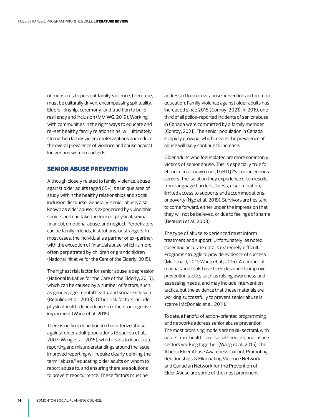<span id="page-17-0"></span>of measures to prevent family violence, therefore, must be culturally driven, encompassing spirituality, Elders, kinship, ceremony, and tradition to build resiliency and inclusion (MMIWG, 2019). Working with communities in the right ways to educate and re-set healthy family relationships, will ultimately strengthen family violence interventions and reduce the overall prevalence of violence and abuse against Indigenous women and girls.

# SENIOR ABUSE PREVENTION

Although closely related to family violence, abuse against older adults (aged 65+) is a unique area of study within the healthy relationships and social inclusion discourse. Generally, senior abuse, also known as elder abuse, is experienced by vulnerable seniors and can take the form of physical, sexual, financial, emotional abuse, and neglect. Perpetrators can be family, friends, institutions, or strangers. In most cases, the individual is a partner or ex-partner, with the exception of financial abuse, which is more often perpetrated by children or grandchildren (National Initiative for the Care of the Elderly, 2015).

The highest risk factor for senior abuse is depression (National Initiative for the Care of the Elderly, 2015), which can be caused by a number of factors, such as gender, age, mental health, and social exclusion (Beaulieu et al., 2003). Other risk factors include physical health, dependence on others, or cognitive impairment (Wang et al., 2015).

There is no firm definition to characterize abuse against older adult populations (Beaulieu et al., 2003; Wang et al., 2015), which leads to inaccurate reporting and misunderstandings around the issue. Improved reporting will require clearly defining the term "abuse," educating older adults on whom to report abuse to, and ensuring there are solutions to prevent reoccurrence. These factors must be

addressed to improve abuse prevention and promote education. Family violence against older adults has increased since 2015 (Conroy, 2021). In 2019, one third of all police-reported incidents of senior abuse in Canada were committed by a family member (Conroy, 2021). The senior population in Canada is rapidly growing, which means the prevalence of abuse will likely continue to increase.

Older adults who feel isolated are more commonly victims of senior abuse. This is especially true for ethnocultural, newcomer, LGBTQ2S+, or Indigenous seniors. The isolation they experience often results from language barriers, illness, discrimination, limited access to supports and accommodations, or poverty (Ngo et al., 2019). Survivors are hesitant to come forward, either under the impression that they will not be believed, or due to feelings of shame (Beaulieu et al., 2003).

The type of abuse experienced must inform treatment and support. Unfortunately, as noted, collecting accurate data is extremely difficult. Programs struggle to provide evidence of success (McDonald, 2011; Wang et al., 2015). A number of manuals and tools have been designed to improve prevention tactics such as raising awareness and assessing needs, and may include intervention tactics, but the evidence that these materials are working successfully to prevent senior abuse is scarce (McDonald et al., 2011).

To date, a handful of action-oriented programming and networks address senior abuse prevention. The most promising models are multi-sectoral, with actors from health care, social services, and justice sectors working together (Wang et al., 2015). The Alberta Elder Abuse Awareness Council, Promoting Relationships & Eliminating Violence Network, and Canadian Network for the Prevention of Elder Abuse are some of the most prominent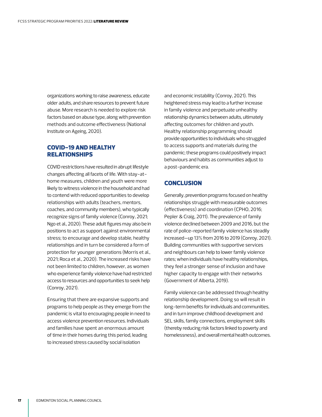<span id="page-18-0"></span>organizations working to raise awareness, educate older adults, and share resources to prevent future abuse. More research is needed to explore risk factors based on abuse type, along with prevention methods and outcome effectiveness (National Institute on Ageing, 2020).

# COVID-19 AND HEALTHY RELATIONSHIPS

COVID restrictions have resulted in abrupt lifestyle changes affecting all facets of life. With stay-athome measures, children and youth were more likely to witness violence in the household and had to contend with reduced opportunities to develop relationships with adults (teachers, mentors, coaches, and community members), who typically recognize signs of family violence (Conroy, 2021; Ngo et al., 2020). These adult figures may also be in positions to act as support against environmental stress; to encourage and develop stable, healthy relationships and in turn be considered a form of protection for younger generations (Morris et al., 2021; Roca et al., 2020). The increased risks have not been limited to children, however, as women who experience family violence have had restricted access to resources and opportunities to seek help (Conroy, 2021).

Ensuring that there are expansive supports and programs to help people as they emerge from the pandemic is vital to encouraging people in need to access violence prevention resources. Individuals and families have spent an enormous amount of time in their homes during this period, leading to increased stress caused by social isolation

and economic instability (Conroy, 2021). This heightened stress may lead to a further increase in family violence and perpetuate unhealthy relationship dynamics between adults, ultimately affecting outcomes for children and youth. Healthy relationship programming should provide opportunities to individuals who struggled to access supports and materials during the pandemic; these programs could positively impact behaviours and habits as communities adjust to a post-pandemic era.

# **CONCLUSION**

Generally, prevention programs focused on healthy relationships struggle with measurable outcomes (effectiveness) and coordination (CPHO, 2016; Pepler & Craig, 2011). The prevalence of family violence declined between 2009 and 2016, but the rate of police-reported family violence has steadily increased—up 13% from 2016 to 2019 (Conroy, 2021). Building communities with supportive services and neighbours can help to lower family violence rates; when individuals have healthy relationships, they feel a stronger sense of inclusion and have higher capacity to engage with their networks (Government of Alberta, 2019).

Family violence can be addressed through healthy relationship development. Doing so will result in long-term benefits for individuals and communities, and in turn improve childhood development and SEL skills, family connections, employment skills (thereby reducing risk factors linked to poverty and homelessness), and overall mental health outcomes.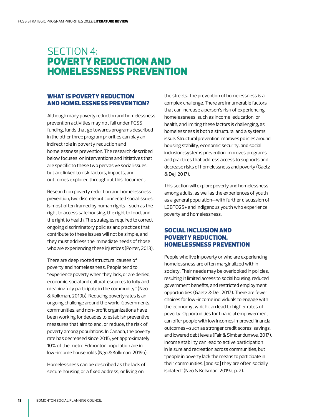# <span id="page-19-0"></span>SECTION 4: POVERTY REDUCTION AND HOMELESSNESS PREVENTION

# WHAT IS POVERTY REDUCTION AND HOMELESSNESS PREVENTION?

Although many poverty reduction and homelessness prevention activities may not fall under FCSS funding, funds that go towards programs described in the other three program priorities can play an indirect role in poverty reduction and homelessness prevention. The research described below focuses on interventions and initiatives that are specific to these two pervasive social issues, but are linked to risk factors, impacts, and outcomes explored throughout this document.

Research on poverty reduction and homelessness prevention, two discrete but connected social issues, is most often framed by human rights—such as the right to access safe housing, the right to food, and the right to health. The strategies required to correct ongoing discriminatory policies and practices that contribute to these issues will not be simple, and they must address the immediate needs of those who are experiencing these injustices (Porter, 2013).

There are deep rooted structural causes of poverty and homelessness. People tend to "experience poverty when they lack, or are denied, economic, social and cultural resources to fully and meaningfully participate in the community" (Ngo & Kolkman, 2019b). Reducing poverty rates is an ongoing challenge around the world. Governments, communities, and non-profit organizations have been working for decades to establish preventive measures that aim to end, or reduce, the risk of poverty among populations. In Canada, the poverty rate has decreased since 2015, yet approximately 10% of the metro Edmonton population are in low-income households (Ngo & Kolkman, 2019a).

Homelessness can be described as the lack of secure housing or a fixed address, or living on

the streets. The prevention of homelessness is a complex challenge. There are innumerable factors that can increase a person's risk of experiencing homelessness, such as income, education, or health, and limiting these factors is challenging, as homelessness is both a structural and a systems issue. Structural prevention improves policies around housing stability, economic security, and social inclusion; systems prevention improves programs and practices that address access to supports and decrease risks of homelessness and poverty (Gaetz & Dej, 2017).

This section will explore poverty and homelessness among adults, as well as the experiences of youth as a general population—with further discussion of LGBTQ2S+ and Indigenous youth who experience poverty and homelessness.

# SOCIAL INCLUSION AND POVERTY REDUCTION, HOMELESSNESS PREVENTION

People who live in poverty or who are experiencing homelessness are often marginalized within society. Their needs may be overlooked in policies, resulting in limited access to social housing, reduced government benefits, and restricted employment opportunities (Gaetz & Dej, 2017). There are fewer choices for low-income individuals to engage with the economy, which can lead to higher rates of poverty. Opportunities for financial empowerment can offer people with low incomes improved financial outcomes—such as stronger credit scores, savings, and lowered debt levels (Fair & Simbandumwe, 2017). Income stability can lead to active participation in leisure and recreation across communities, but "people in poverty lack the means to participate in their communities, [and so] they are often socially isolated" (Ngo & Kolkman, 2019a, p. 2).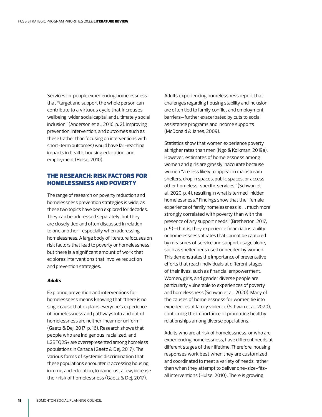<span id="page-20-0"></span>Services for people experiencing homelessness that "target and support the whole person can contribute to a virtuous cycle that increases wellbeing, wider social capital, and ultimately social inclusion" (Anderson et al., 2016, p. 2). Improving prevention, intervention, and outcomes such as these (rather than focusing on interventions with short-term outcomes) would have far-reaching impacts in health, housing education, and employment (Hulse, 2010).

# THE RESEARCH: RISK FACTORS FOR HOMELESSNESS AND POVERTY

The range of research on poverty reduction and homelessness prevention strategies is wide, as these two topics have been explored for decades. They can be addressed separately, but they are closely tied and often discussed in relation to one another—especially when addressing homelessness. A large body of literature focuses on risk factors that lead to poverty or homelessness, but there is a significant amount of work that explores interventions that involve reduction and prevention strategies.

#### *Adults*

Exploring prevention and interventions for homelessness means knowing that "there is no single cause that explains everyone's experience of homelessness and pathways into and out of homelessness are neither linear nor uniform" (Gaetz & Dej, 2017, p. 16). Research shows that people who are Indigenous, racialized, and LGBTQ2S+ are overrepresented among homeless populations in Canada (Gaetz & Dej, 2017). The various forms of systemic discrimination that these populations encounter in accessing housing, income, and education, to name just a few, increase their risk of homelessness (Gaetz & Dej, 2017).

Adults experiencing homelessness report that challenges regarding housing stability and inclusion are often tied to family conflict and employment barriers—further exacerbated by cuts to social assistance programs and income supports (McDonald & Janes, 2009).

Statistics show that women experience poverty at higher rates than men (Ngo & Kolkman, 2019a). However, estimates of homelessness among women and girls are grossly inaccurate because women "are less likely to appear in mainstream shelters, drop in spaces, public spaces, or access other homeless-specific services" (Schwan et al., 2020, p. 4), resulting in what is termed "hidden homelessness." Findings show that the "female experience of family homelessness is . . . much more strongly correlated with poverty than with the presence of any support needs" (Bretherton, 2017, p. 5)—that is, they experience financial instability or homelessness at rates that cannot be captured by measures of service and support usage alone, such as shelter beds used or needed by women. This demonstrates the importance of preventative efforts that reach individuals at different stages of their lives, such as financial empowerment. Women, girls, and gender diverse people are particularly vulnerable to experiences of poverty and homelessness (Schwan et al., 2020). Many of the causes of homelessness for women tie into experiences of family violence (Schwan et al., 2020), confirming the importance of promoting healthy relationships among diverse populations.

Adults who are at risk of homelessness, or who are experiencing homelessness, have different needs at different stages of their lifetime. Therefore, housing responses work best when they are customized and coordinated to meet a variety of needs, rather than when they attempt to deliver one-size-fitsall interventions (Hulse, 2010). There is growing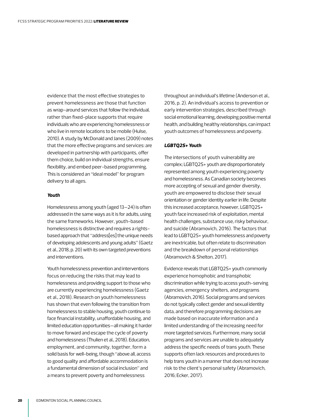evidence that the most effective strategies to prevent homelessness are those that function as wrap-around services that follow the individual, rather than fixed-place supports that require individuals who are experiencing homelessness or who live in remote locations to be mobile (Hulse, 2010). A study by McDonald and Janes (2009) notes that the more effective programs and services: are developed in partnership with participants, offer them choice, build on individual strengths, ensure flexibility, and embed peer-based programming. This is considered an "ideal model" for program delivery to all ages.

#### *Youth*

Homelessness among youth (aged 13–24) is often addressed in the same ways as it is for adults, using the same frameworks. However, youth-based homelessness is distinctive and requires a rightsbased approach that "address[es] the unique needs of developing adolescents and young adults" (Gaetz et al., 2018, p. 20) with its own targeted preventions and interventions.

Youth homelessness prevention and interventions focus on reducing the risks that may lead to homelessness and providing support to those who are currently experiencing homelessness (Gaetz et al., 2018). Research on youth homelessness has shown that even following the transition from homelessness to stable housing, youth continue to face financial instability, unaffordable housing, and limited education opportunities—all making it harder to move forward and escape the cycle of poverty and homelessness (Thulien et al., 2018). Education, employment, and community, together, form a solid basis for well-being, though "above all, access to good quality and affordable accommodation is a fundamental dimension of social inclusion" and a means to prevent poverty and homelessness

throughout an individual's lifetime (Anderson et al., 2016, p. 2). An individual's access to prevention or early intervention strategies, described through social emotional learning, developing positive mental health, and building healthy relationships, can impact youth outcomes of homelessness and poverty.

#### *LGBTQ2S+ Youth*

The intersections of youth vulnerability are complex; LGBTQ2S+ youth are disproportionately represented among youth experiencing poverty and homelessness. As Canadian society becomes more accepting of sexual and gender diversity, youth are empowered to disclose their sexual orientation or gender identity earlier in life. Despite this increased acceptance, however, LGBTQ2S+ youth face increased risk of exploitation, mental health challenges, substance use, risky behaviour, and suicide (Abramovich, 2016). The factors that lead to LGBTQ2S+ youth homelessness and poverty are inextricable, but often relate to discrimination and the breakdown of personal relationships (Abramovich & Shelton, 2017).

Evidence reveals that LGBTQ2S+ youth commonly experience homophobic and transphobic discrimination while trying to access youth-serving agencies, emergency shelters, and programs (Abramovich, 2016). Social programs and services do not typically collect gender and sexual identity data, and therefore programming decisions are made based on inaccurate information and a limited understanding of the increasing need for more targeted services. Furthermore, many social programs and services are unable to adequately address the specific needs of trans youth. These supports often lack resources and procedures to help trans youth in a manner that does not increase risk to the client's personal safety (Abramovich, 2016; Ecker, 2017).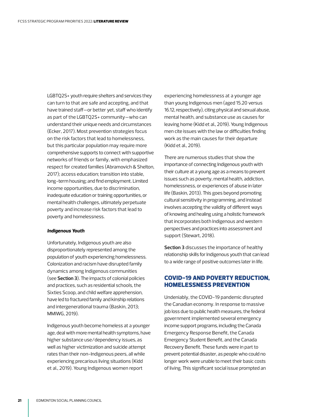<span id="page-22-0"></span>LGBTQ2S+ youth require shelters and services they can turn to that are safe and accepting, and that have trained staff—or better yet, staff who identify as part of the LGBTQ2S+ community—who can understand their unique needs and circumstances (Ecker, 2017). Most prevention strategies focus on the risk factors that lead to homelessness, but this particular population may require more comprehensive supports to connect with supportive networks of friends or family, with emphasized respect for created families (Abramovich & Shelton, 2017); access education; transition into stable, long-term housing; and find employment. Limited income opportunities, due to discrimination, inadequate education or training opportunities, or mental health challenges, ultimately perpetuate poverty and increase risk factors that lead to poverty and homelessness.

#### *Indigenous Youth*

Unfortunately, Indigenous youth are also disproportionately represented among the population of youth experiencing homelessness. Colonization and racism have disrupted family dynamics among Indigenous communities (see **Section 3**). The impacts of colonial policies and practices, such as residential schools, the Sixties Scoop, and child welfare apprehension, have led to fractured family and kinship relations and intergenerational trauma (Baskin, 2013; MMIWG, 2019).

Indigenous youth become homeless at a younger age, deal with more mental health symptoms, have higher substance use/dependency issues, as well as higher victimization and suicide attempt rates than their non-Indigenous peers, all while experiencing precarious living situations (Kidd et al., 2019). Young Indigenous women report

experiencing homelessness at a younger age than young Indigenous men (aged 15.20 versus 16.12, respectively), citing physical and sexual abuse, mental health, and substance use as causes for leaving home (Kidd et al., 2019). Young Indigenous men cite issues with the law or difficulties finding work as the main causes for their departure (Kidd et al., 2019).

There are numerous studies that show the importance of connecting Indigenous youth with their culture at a young age as a means to prevent issues such as poverty, mental health, addiction, homelessness, or experiences of abuse in later life (Baskin, 2013). This goes beyond promoting cultural sensitivity in programming, and instead involves accepting the validity of different ways of knowing and healing using a holistic framework that incorporates both Indigenous and western perspectives and practices into assessment and support (Stewart, 2018).

**Section 3** discusses the importance of healthy relationship skills for Indigenous youth that can lead to a wide range of positive outcomes later in life.

# COVID-19 AND POVERTY REDUCTION, HOMELESSNESS PREVENTION

Undeniably, the COVID-19 pandemic disrupted the Canadian economy. In response to massive job loss due to public health measures, the federal government implemented several emergency income support programs, including the Canada Emergency Response Benefit, the Canada Emergency Student Benefit, and the Canada Recovery Benefit. These funds were in part to prevent potential disaster, as people who could no longer work were unable to meet their basic costs of living. This significant social issue prompted an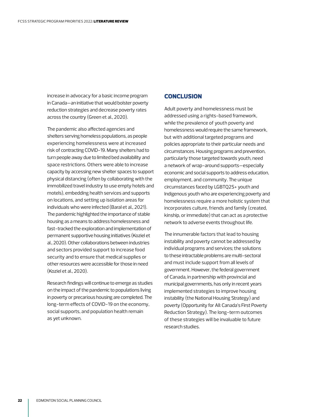<span id="page-23-0"></span>increase in advocacy for a basic income program in Canada—an initiative that would bolster poverty reduction strategies and decrease poverty rates across the country (Green et al., 2020).

The pandemic also affected agencies and shelters serving homeless populations, as people experiencing homelessness were at increased risk of contracting COVID-19. Many shelters had to turn people away due to limited bed availability and space restrictions. Others were able to increase capacity by accessing new shelter spaces to support physical distancing (often by collaborating with the immobilized travel industry to use empty hotels and motels), embedding health services and supports on locations, and setting up isolation areas for individuals who were infected (Baral et al., 2021). The pandemic highlighted the importance of stable housing as a means to address homelessness and fast-tracked the exploration and implementation of permanent supportive housing initiatives (Koziel et al., 2020). Other collaborations between industries and sectors provided support to increase food security and to ensure that medical supplies or other resources were accessible for those in need (Koziel et al., 2020).

Research findings will continue to emerge as studies on the impact of the pandemic to populations living in poverty or precarious housing are completed. The long-term effects of COVID-19 on the economy, social supports, and population health remain as yet unknown.

### **CONCLUSION**

Adult poverty and homelessness must be addressed using a rights-based framework, while the prevalence of youth poverty and homelessness would require the same framework, but with additional targeted programs and policies appropriate to their particular needs and circumstances. Housing programs and prevention, particularly those targeted towards youth, need a network of wrap-around supports—especially economic and social supports to address education, employment, and community. The unique circumstances faced by LGBTQ2S+ youth and Indigenous youth who are experiencing poverty and homelessness require a more holistic system that incorporates culture, friends and family (created, kinship, or immediate) that can act as a protective network to adverse events throughout life.

The innumerable factors that lead to housing instability and poverty cannot be addressed by individual programs and services; the solutions to these intractable problems are multi-sectoral and must include support from all levels of government. However, the federal government of Canada, in partnership with provincial and municipal governments, has only in recent years implemented strategies to improve housing instability (the National Housing Strategy) and poverty (Opportunity for All: Canada's First Poverty Reduction Strategy). The long-term outcomes of these strategies will be invaluable to future research studies.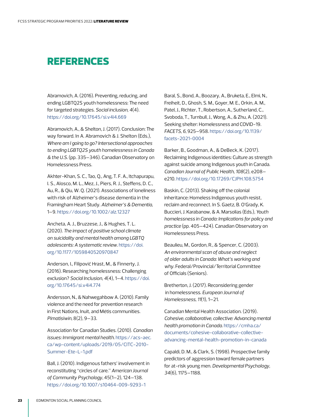# <span id="page-24-0"></span>REFERENCES

Abramovich, A. (2016). Preventing, reducing, and ending LGBTQ2S youth homelessness: The need for targeted strategies. *Social inclusion, 4*(4). <https://doi.org/10.17645/si.v4i4.669>

Abramovich, A., & Shelton, J. (2017). Conclusion: The way forward. In A. Abramovich & J. Shelton (Eds.), *Where am I going to go? Intersectional approaches to ending LGBTQ2S youth homelessness in Canada & the U.S.* (pp. 335–346). Canadian Observatory on Homelessness Press.

Akhter-Khan, S. C., Tao, Q., Ang, T. F. A., Itchapurapu, I. S., Alosco, M. L., Mez, J., Piers, R. J., Steffens, D. C., Au, R., & Qiu, W. Q. (2021). Associations of loneliness with risk of Alzheimer's disease dementia in the Framingham Heart Study. *Alzheimer's & Dementia*, 1–9. [https://doi.org/10.1002/alz.12327](https://doi.org/10.1002/alz.12327 ) 

Ancheta, A. J., Bruzzese, J., & Hughes, T. L. (2020). *The impact of positive school climate on suicidality and mental health among LGBTQ adolescents: A systematic review*. [https://doi.](https://doi.org/10.1177/1059840520970847  ) [org/10.1177/1059840520970847](https://doi.org/10.1177/1059840520970847  ) 

Anderson, I., Filipovič Hrast, M., & Finnerty, J. (2016). Researching homelessness: Challenging exclusion? *Social Inclusion, 4*(4), 1–4. [https://doi.](https://doi.org/10.17645/si.v4i4.774  ) [org/10.17645/si.v4i4.774](https://doi.org/10.17645/si.v4i4.774  ) 

Andersson, N., & Nahwegahbow A. (2010). Family violence and the need for prevention research in First Nations, Inuit, and Métis communities. *Pimatisiwin,* 8(2), 9–33.

Association for Canadian Studies. (2010). *Canadian issues: Immigrant mental health*. [https://acs-aec.](https://acs-aec.ca/wp-content/uploads/2019/05/CITC-2010-Summer-Ete-L-1.pdf ) [ca/wp-content/uploads/2019/05/CITC-2010-](https://acs-aec.ca/wp-content/uploads/2019/05/CITC-2010-Summer-Ete-L-1.pdf ) [Summer-Ete-L-1.pdf](https://acs-aec.ca/wp-content/uploads/2019/05/CITC-2010-Summer-Ete-L-1.pdf )

Ball, J. (2010). Indigenous fathers' involvement in reconstituting "circles of care." *American Journal of Community Psychology*, 45(1–2), 124–138. [https://doi.org/10.1007/s10464-009-9293-1](https://doi.org/10.1007/s10464-009-9293-1  ) 

Baral, S., Bond, A., Boozary, A., Bruketa, E., Elmi, N., Freiheit, D., Ghosh, S. M., Goyer, M. E., Orkin, A. M., Patel, J., Richter, T., Robertson, A., Sutherland, C., Svoboda, T., Turnbull, J., Wong, A., & Zhu, A. (2021). Seeking shelter: Homelessness and COVID-19. *FACETS, 6*, 925–958. [https://doi.org/10.1139/](https://doi.org/10.1139/facets-2021-0004   ) [facets-2021-0004](https://doi.org/10.1139/facets-2021-0004   ) 

Barker, B., Goodman, A., & DeBeck, K. (2017). Reclaiming Indigenous identities: Culture as strength against suicide among Indigenous youth in Canada. *Canadian Journal of Public Health, 108*(2), e208– e210. [https://doi.org/10.17269/CJPH.108.5754](https://doi.org/10.17269/CJPH.108.5754  ) 

Baskin, C. (2013). Shaking off the colonial inheritance: Homeless Indigenous youth resist, reclaim and reconnect. In S. Gaetz, B. O'Grady, K. Buccieri, J. Karabanow, & A. Marsolias (Eds.), *Youth homelessness in Canada: Implications for policy and practice* (pp. 405–424). Canadian Observatory on Homelessness Press.

Beaulieu, M., Gordon, R., & Spencer, C. (2003). *An environmental scan of abuse and neglect of older adults in Canada: What's working and why*. Federal/Provincial/Territorial Committee of Officials (Seniors).

Bretherton, J. (2017). Reconsidering gender in homelessness. *European Journal of Homelessness, 11*(1), 1–21.

Canadian Mental Health Association. (2019). *Cohesive, collaborative, collective: Advancing mental health promotion in Canada*. [https://cmha.ca/](https://cmha.ca/documents/cohesive-collaborative-collective-advancing-mental-health-promotion-in-canada ) [documents/cohesive-collaborative-collective](https://cmha.ca/documents/cohesive-collaborative-collective-advancing-mental-health-promotion-in-canada )[advancing-mental-health-promotion-in-canada](https://cmha.ca/documents/cohesive-collaborative-collective-advancing-mental-health-promotion-in-canada )

Capaldi, D. M., & Clark, S. (1998). Prospective family predictors of aggression toward female partners for at-risk young men. *Developmental Psychology, 34*(6), 1175–1188.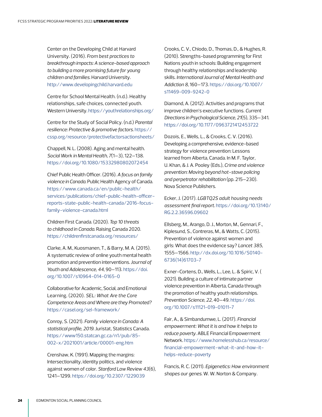Center on the Developing Child at Harvard University. (2016). *From best practices to breakthrough impacts: A science-based approach to building a more promising future for young children and families*. Harvard University. [http://www.developingchild.harvard.edu](http://www.developingchild.harvard.edu  ) 

Centre for School Mental Health. (n.d.). Healthy relationships, safe choices, connected youth. Western University. [https://youthrelationships.org/](https://youthrelationships.org/ )

Centre for the Study of Social Policy. (n.d.) *Parental resilience: Protective & promotive factors*. [https://](https://cssp.org/resource/protectivefactorsactionsheets/  ) [cssp.org/resource/protectivefactorsactionsheets/](https://cssp.org/resource/protectivefactorsactionsheets/  ) 

Chappell, N. L. (2008). Aging and mental health. *Social Work in Mental Health, 7*(1–3), 122–138. [https://doi.org/10.1080/15332980802072454](https://doi.org/10.1080/15332980802072454  ) 

Chief Public Health Officer. (2016). *A focus on family violence in Canada*. Public Health Agency of Canada. [https://www.canada.ca/en/public-health/](https://www.canada.ca/en/public-health/services/publications/chief-public-health-officer-reports-state-public-health-canada/2016-focus-family-violence-canada.html  ) [services/publications/chief-public-health-officer](https://www.canada.ca/en/public-health/services/publications/chief-public-health-officer-reports-state-public-health-canada/2016-focus-family-violence-canada.html  )[reports-state-public-health-canada/2016-focus](https://www.canada.ca/en/public-health/services/publications/chief-public-health-officer-reports-state-public-health-canada/2016-focus-family-violence-canada.html  )[family-violence-canada.html](https://www.canada.ca/en/public-health/services/publications/chief-public-health-officer-reports-state-public-health-canada/2016-focus-family-violence-canada.html  ) 

Children First Canada. (2020). *Top 10 threats to childhood in Canada*. Raising Canada 2020. [https://childrenfirstcanada.org/resources/](https://childrenfirstcanada.org/resources/  ) 

Clarke, A. M., Kuosmanen, T., & Barry, M. A. (2015). A systematic review of online youth mental health promotion and prevention interventions. *Journal of Youth and Adolescence, 44*, 90–113. [https://doi.](https://doi.org/10.1007/s10964-014-0165-0   ) [org/10.1007/s10964-014-0165-0](https://doi.org/10.1007/s10964-014-0165-0   ) 

Collaborative for Academic, Social, and Emotional Learning. (2020). *SEL: What Are the Core Competence Areas and Where are they Promoted?* [https://casel.org/sel-framework/](https://casel.org/sel-framework/  ) 

Conroy, S. (2021). *Family violence in Canada: A statistical profile, 2019*. Juristat, Statistics Canada. [https://www150.statcan.gc.ca/n1/pub/85-](https://www150.statcan.gc.ca/n1/pub/85-002-x/2021001/article/00001-eng.htm  ) [002-x/2021001/article/00001-eng.htm](https://www150.statcan.gc.ca/n1/pub/85-002-x/2021001/article/00001-eng.htm  ) 

Crenshaw, K. (1991). Mapping the margins: Intersectionality, identity politics, and violence against women of color. *Stanford Law Review 43*(6), 1241–1299. [https://doi.org/10.2307/1229039](https://doi.org/10.2307/1229039  ) 

Crooks, C. V., Chiodo, D., Thomas, D., & Hughes, R. (2010). Strengths-based programming for First Nations youth in schools: Building engagement through healthy relationships and leadership skills. *International Journal of Mental Health and Addiction 8*, 160–173. [https://doi.org/10.1007/](https://doi.org/10.1007/s11469-009-9242-0  ) [s11469-009-9242-0](https://doi.org/10.1007/s11469-009-9242-0  ) 

Diamond, A. (2012). Activities and programs that improve children's executive functions. *Current Directions in Psychological Science, 21*(5), 335–341. [https://doi.org/10.1177/0963721412453722](https://doi.org/10.1177/0963721412453722  ) 

Dozois, E., Wells, L., & Crooks, C. V. (2016). Developing a comprehensive, evidence-based strategy for violence prevention: Lessons learned from Alberta, Canada. In M. F. Taylor, U. Khan, & J. A. Pooley (Eds.), *Crime and violence prevention: Moving beyond hot-stove policing and perpetrator rehabilitation* (pp. 215–230). Nova Science Publishers.

Ecker, J. (2017). *LGBTQ2S adult housing needs assessment final report*. [https://doi.org/10.13140/](https://doi.org/10.13140/RG.2.2.36596.09602   ) [RG.2.2.36596.09602](https://doi.org/10.13140/RG.2.2.36596.09602   ) 

Ellsberg, M., Arango, D. J., Morton, M., Gennari, F., Kiplesund, S., Contreras, M., & Watts, C. (2015). Prevention of violence against women and girls: What does the evidence say? *Lancet 385*, 1555–1566. [http://dx.doi.org/10.1016/S0140-](http://dx.doi.org/10.1016/S0140-6736(14)61703-7  ) [6736\(14\)61703-7](http://dx.doi.org/10.1016/S0140-6736(14)61703-7  ) 

Exner-Cortens, D., Wells, L., Lee, L. & Spiric, V. ( 2021). Building a culture of intimate partner violence prevention in Alberta, Canada through the promotion of healthy youth relationships. *Prevention Science, 22*, 40–49. [https://doi.](https://doi.org/10.1007/s11121-019-01011-7  ) [org/10.1007/s11121-019-01011-7](https://doi.org/10.1007/s11121-019-01011-7  ) 

Fair, A., & Simbandumwe, L. (2017). *Financial empowerment: What it is and how it helps to reduce poverty*. ABLE Financial Empowerment Network. [https://www.homelesshub.ca/resource/](https://www.homelesshub.ca/resource/financial-empowerment-what-it-and-how-it-helps-reduce-poverty  ) [financial-empowerment-what-it-and-how-it](https://www.homelesshub.ca/resource/financial-empowerment-what-it-and-how-it-helps-reduce-poverty  )[helps-reduce-poverty](https://www.homelesshub.ca/resource/financial-empowerment-what-it-and-how-it-helps-reduce-poverty  ) 

Francis, R. C. (2011). *Epigenetics: How environment shapes our genes*. W. W. Norton & Company.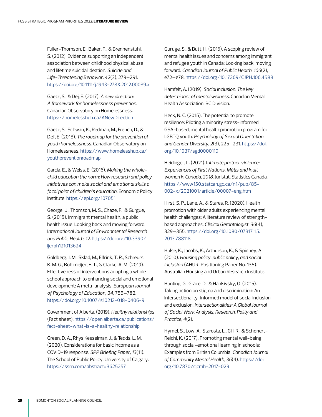Fuller-Thomson, E., Baker, T., & Brennenstuhl, S. (2012). Evidence supporting an independent association between childhood physical abuse and lifetime suicidal ideation. *Suicide and Life-Threatening Behavior, 42*(3), 279–291. [https://doi.org/10.1111/j.1943-278X.2012.00089.x](https://doi.org/10.1111/j.1943-278X.2012.00089.x   ) 

Gaetz, S., & Dej, E. (2017). *A new direction: A framework for homelessness prevention*. Canadian Observatory on Homelessness. [https://homelesshub.ca/ANewDirection](https://homelesshub.ca/ANewDirection )

Gaetz, S., Schwan, K., Redman, M., French, D., & Def, E. (2018). *The roadmap for the prevention of youth homelessness*. Canadian Observatory on Homelessness. [https://www.homelesshub.ca/](https://www.homelesshub.ca/youthpreventionroadmap  ) [youthpreventionroadmap](https://www.homelesshub.ca/youthpreventionroadmap  ) 

Garcia, E., & Weiss, E. (2016). *Making the wholechild education the norm: How research and policy initiatives can make social and emotional skills a focal point of children's education*. Economic Policy Institute. [https://epi.org/107051](https://epi.org/107051     ) 

George, U., Thomson, M. S., Chaze, F., & Gurgue, S. (2015). Immigrant mental health, a public health issue: Looking back and moving forward. I*nternational Journal of Environmental Research and Public Health, 12*. [https://doi.org/10.3390/](https://doi.org/10.3390/ijerph121013624  ) [ijerph121013624](https://doi.org/10.3390/ijerph121013624  ) 

Goldberg, J. M., Sklad, M., Elfrink, T. R., Schreurs, K. M. G., Bohlmeijer, E. T., & Clarke, A. M. (2019). Effectiveness of interventions adopting a whole school approach to enhancing social and emotional development: A meta-analysis. *European Journal of Psychology of Education, 34*, 755–782. [https://doi.org/10.1007/s10212-018-0406-9](https://doi.org/10.1007/s10212-018-0406-9  ) 

Government of Alberta. (2019). *Healthy relationships* (Fact sheet). [https://open.alberta.ca/publications/](https://open.alberta.ca/publications/fact-sheet-what-is-a-healthy-relationship  ) [fact-sheet-what-is-a-healthy-relationship](https://open.alberta.ca/publications/fact-sheet-what-is-a-healthy-relationship  ) 

Green, D. A., Rhys Kesselman, J., & Tedds, L. M. (2020). Considerations for basic income as a COVID-19 response. *SPP Briefing Paper, 13*(11). The School of Public Policy, University of Calgary. [https://ssrn.com/abstract=3625257](https://ssrn.com/abstract=3625257  ) 

Guruge, S., & Butt, H. (2015). A scoping review of mental health issues and concerns among immigrant and refugee youth in Canada: Looking back, moving forward. *Canadian Journal of Public Health, 106*(2), e72–e78. [https://doi.org/10.17269/CJPH.106.4588](https://doi.org/10.17269/CJPH.106.4588 )

Hamfelt, A. (2019). *Social inclusion: The key determinant of mental wellness*. Canadian Mental Health Association, BC Division.

Heck, N. C. (2015). The potential to promote resilience: Piloting a minority stress-informed, GSA-based, mental health promotion program for LGBTQ youth. *Psychology of Sexual Orientation and Gender Diversity, 2*(3), 225–231. [https://doi.](https://doi.org/10.1037/sgd0000110  ) [org/10.1037/sgd0000110](https://doi.org/10.1037/sgd0000110  ) 

Heidinger, L. (2021). I*ntimate partner violence: Experiences of First Nations, Métis and Inuit women in Canada, 2018*. Juristat, Statistics Canada. [https://www150.statcan.gc.ca/n1/pub/85-](https://www150.statcan.gc.ca/n1/pub/85-002-x/2021001/article/00007-eng.htm  ) [002-x/2021001/article/00007-eng.htm](https://www150.statcan.gc.ca/n1/pub/85-002-x/2021001/article/00007-eng.htm  ) 

Hirst, S. P., Lane, A., & Stares, R. (2020). Health promotion with older adults experiencing mental health challenges: A literature review of strengthbased approaches. *Clinical Gerontologist, 36*(4), 329–355. [https://doi.org/10.1080/07317115.](https://doi.org/10.1080/07317115.2013.788118  ) [2013.788118](https://doi.org/10.1080/07317115.2013.788118  ) 

Hulse, K., Jacobs, K., Arthurson, K., & Spinney, A. (2010). *Housing policy, public policy, and social inclusion* (AHURI Positioning Paper No. 135). Australian Housing and Urban Research Institute.

Hunting, G., Grace, D., & Hankivsky, O. (2015). Taking action on stigma and discrimination: An intersectionality-informed model of social inclusion and exclusion. *Intersectionalities: A Global Journal of Social Work Analysis, Research, Polity and Practice, 4*(2).

Hymel, S., Low, A., Starosta, L., Gill, R., & Schonert-Reichl, K. (2017). Promoting mental well-being through social-emotional learning in schools: Examples from British Columbia. *Canadian Journal of Community Mental Health, 36*(4). [https://doi.](https://doi.org/10.7870/cjcmh-2017-029   ) [org/10.7870/cjcmh-2017-029](https://doi.org/10.7870/cjcmh-2017-029   )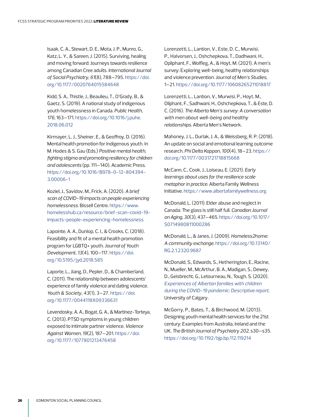Isaak, C. A., Stewart, D. E., Mota, J. P., Munro, G., Katz, L. Y., & Sareen, J. (2015). Surviving, healing and moving forward: Journeys towards resilience among Canadian Cree adults. *International Journal of Social Psychiatry, 61*(8), 788–795. [https://doi.](https://doi.org/10.1177/0020764015584648  ) [org/10.1177/0020764015584648](https://doi.org/10.1177/0020764015584648  ) 

Kidd, S. A., Thistle, J., Beaulieu, T., O'Grady, B., & Gaetz, S. (2019). A national study of Indigenous youth homelessness in Canada. *Public Health, 176*, 163–171. [https://doi.org/10.1016/j.puhe.](https://doi.org/10.1016/j.puhe.2018.06.012  ) [2018.06.012](https://doi.org/10.1016/j.puhe.2018.06.012  ) 

Kirmayer, L. J., Sheiner, E., & Geoffroy, D. (2016). Mental health promotion for Indigenous youth. In M. Hodes & S. Gau (Eds.) *Positive mental health, fighting stigma and promoting resiliency for children and adolescents* (pp. 111–140). Academic Press. [https://doi.org/10.1016/B978-0-12-804394-](https://doi.org/10.1016/B978-0-12-804394-3.00006-1   ) [3.00006-1](https://doi.org/10.1016/B978-0-12-804394-3.00006-1   ) 

Koziel, J., Savidov, M., Frick, A. (2020). *A brief scan of COVID-19 impacts on people experiencing homelessness*. Bissell Centre. [https://www.](https://www.homelesshub.ca/resource/brief-scan-covid-19-impacts-people-experiencing-homelessness  ) [homelesshub.ca/resource/brief-scan-covid-19](https://www.homelesshub.ca/resource/brief-scan-covid-19-impacts-people-experiencing-homelessness  ) [impacts-people-experiencing-homelessness](https://www.homelesshub.ca/resource/brief-scan-covid-19-impacts-people-experiencing-homelessness  ) 

Lapointe, A. A., Dunlop, C. I., & Crooks, C. (2018). Feasibility and fit of a mental health promotion program for LGBTQ+ youth. *Journal of Youth Development, 13*(4), 100–117. [https://doi.](https://doi.org/10.5195/jyd.2018.585  ) [org/10.5195/jyd.2018.585](https://doi.org/10.5195/jyd.2018.585  ) 

Laporte, L., Jiang, D., Pepler, D., & Chamberland, C. (2011). The relationship between adolescents' experience of family violence and dating violence. *Youth & Society, 43*(1), 3–27. [https://doi.](https://doi.org/10.1177/0044118X09336631  ) [org/10.1177/0044118X09336631](https://doi.org/10.1177/0044118X09336631  ) 

Levendosky, A. A., Bogat, G. A., & Martinez-Torteya, C. (2013). PTSD symptoms in young children exposed to intimate partner violence. *Violence Against Women, 19*(2), 187–201. [https://doi.](https://doi.org/10.1177/1077801213476458  ) [org/10.1177/1077801213476458](https://doi.org/10.1177/1077801213476458  ) 

Lorenzetti, L., Lantion, V., Este, D. C., Murwisi, P., Halvorsen, J., Oshchepkova, T., Dadhwani, H., Opliphant, F., Wolfleg, A., & Hoyt, M. (2021). A men's survey: Exploring well-being, healthy relationships and violence prevention. *Journal of Men's Studies*, 1–21. [https://doi.org/10.1177/10608265211018817](https://doi.org/10.1177/10608265211018817  ) 

Lorenzetti, L., Lantion, V., Murwisi, P., Hoyt, M., Oliphant, F., Sadhwani, H., Oshchepkova, T., & Este, D. C. (2016). *The Alberta Men's survey: A conversation with men about well-being and healthy relationships*. Alberta Men's Network.

Mahoney, J. L., Durlak, J. A., & Weissberg, R. P. (2018). An update on social and emotional learning outcome research. *Phi Delta Kappan, 100*(4), 18–23. [https://](https://doi.org/10.1177/0031721718815668  ) [doi.org/10.1177/0031721718815668](https://doi.org/10.1177/0031721718815668  ) 

McCann, C., Cook, J., Loiseau, E. (2021). *Early learnings about uses for the resilience scale metaphor in practice*. Alberta Family Wellness Initiative.<https://www.albertafamilywellness.org>

McDonald, L. (2011). Elder abuse and neglect in Canada: The glass is still half full. *Canadian Journal on Aging, 30*(3), 437–465. [https://doi.org/10.1017/](https://doi.org/10.1017/S0714980811000286   ) [S0714980811000286](https://doi.org/10.1017/S0714980811000286   ) 

McDonald, L., & Janes, J. (2009). *Homeless2home: A community exchange*. [https://doi.org/10.13140/](https://doi.org/10.13140/RG.2.1.2320.9687  ) [RG.2.1.2320.9687](https://doi.org/10.13140/RG.2.1.2320.9687  ) 

McDonald, S., Edwards, S., Hetherington, E., Racine, N., Mueller, M., McArthur, B. A., Madigan, S., Dewey, D., Geisbrecht, G., Letourneau, N., Tough, S. (2020). *[Experiences of Albertan families with children](http://allourfamiliesstudy.com/wp-content/uploads/2020/12/AOF-APrON-COVID-19-Full-Report_30-Nov-2020.pdf)  [during the COVID-19 pandemic: Descriptive report](http://allourfamiliesstudy.com/wp-content/uploads/2020/12/AOF-APrON-COVID-19-Full-Report_30-Nov-2020.pdf)*. University of Calgary.

McGorry, P., Bates, T., & Birchwood, M. (2013). Designing youth mental health services for the 21st century: Examples from Australia, Ireland and the UK. *The British Journal of Psychiatry 202*, s30–s35. [https://doi.org/10.1192/bjp.bp.112.119214](https://doi.org/10.1192/bjp.bp.112.119214  )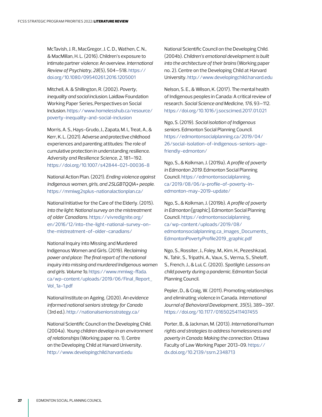McTavish, J. R., MacGregor, J. C. D., Wathen, C. N., & MacMillan, H. L. (2016). Children's exposure to intimate partner violence: An overview. *International Review of Psychiatry, 28*(5), 504–518. [https://](https://doi.org/10.1080/09540261.2016.1205001  ) [doi.org/10.1080/09540261.2016.1205001](https://doi.org/10.1080/09540261.2016.1205001  ) 

Mitchell, A. & Shillington, R. (2002). *Poverty, inequality and social inclusion*. Laidlaw Foundation Working Paper Series, Perspectives on Social Inclusion. [https://www.homelesshub.ca/resource/](https://www.homelesshub.ca/resource/poverty-inequality-and-social-inclusion  ) [poverty-inequality-and-social-inclusion](https://www.homelesshub.ca/resource/poverty-inequality-and-social-inclusion  ) 

Morris, A. S., Hays-Grudo, J., Zapata, M. I., Treat, A., & Kerr, K. L. (2021). Adverse and protective childhood experiences and parenting attitudes: The role of cumulative protection in understanding resilience. *Adversity and Resilience Science, 2*, 181–192. [https://doi.org/10.1007/s42844-021-00036-8](https://doi.org/10.1007/s42844-021-00036-8 )

National Action Plan. (2021). *Ending violence against Indigenous women, girls, and 2SLGBTQQIA+ people*. [https://mmiwg2splus-nationalactionplan.ca/](https://mmiwg2splus-nationalactionplan.ca/ ) 

National Initiative for the Care of the Elderly. (2015). *Into the light: National survey on the mistreatment of older Canadians*. [https://vivredignite.org/](https://vivredignite.org/en/2016/12/into-the-light-national-survey-on-the-mistreatment-of-older-canadians/  ) [en/2016/12/into-the-light-national-survey-on](https://vivredignite.org/en/2016/12/into-the-light-national-survey-on-the-mistreatment-of-older-canadians/  )[the-mistreatment-of-older-canadians/](https://vivredignite.org/en/2016/12/into-the-light-national-survey-on-the-mistreatment-of-older-canadians/  ) 

National Inquiry into Missing and Murdered Indigenous Women and Girls. (2019). *Reclaiming power and place: The final report of the national inquiry into missing and murdered Indigenous women and girls. Volume 1a*. [https://www.mmiwg-ffada.](https://www.mmiwg-ffada.ca/wp-content/uploads/2019/06/Final_Report_Vol_1a-1.pdf   ) [ca/wp-content/uploads/2019/06/Final\\_Report\\_](https://www.mmiwg-ffada.ca/wp-content/uploads/2019/06/Final_Report_Vol_1a-1.pdf   ) [Vol\\_1a-1.pdf](https://www.mmiwg-ffada.ca/wp-content/uploads/2019/06/Final_Report_Vol_1a-1.pdf   ) 

National Institute on Ageing. (2020). *An evidence informed national seniors strategy for Canada* (3rd ed.). [http://nationalseniorsstrategy.ca/](http://nationalseniorsstrategy.ca/  ) 

National Scientific Council on the Developing Child. (2004a). *Young children develop in an environment of relationships* (Working paper no. 1). Centre on the Developing Child at Harvard University. [http://www.developingchild.harvard.edu](http://www.developingchild.harvard.edu )

National Scientific Council on the Developing Child. (2004b). *Children's emotional development is built into the architecture of their brains* (Working paper no. 2). Centre on the Developing Child at Harvard University. [http://www.developingchild.harvard.edu](http://www.developingchild.harvard.edu )

Nelson, S. E., & Wilson, K. (2017). The mental health of Indigenous peoples in Canada: A critical review of research. *Social Science and Medicine, 176*, 93–112. [https://doi.org/10.1016/j.socscimed.2017.01.021](https://doi.org/10.1016/j.socscimed.2017.01.021  ) 

Ngo, S. (2019). *Social isolation of Indigenous seniors*. Edmonton Social Planning Council. [https://edmontonsocialplanning.ca/2019/04/](https://edmontonsocialplanning.ca/2019/04/26/social-isolation-of-indigenous-seniors-age-friendly-edmonton/  ) [26/social-isolation-of-indigenous-seniors-age](https://edmontonsocialplanning.ca/2019/04/26/social-isolation-of-indigenous-seniors-age-friendly-edmonton/  )[friendly-edmonton/](https://edmontonsocialplanning.ca/2019/04/26/social-isolation-of-indigenous-seniors-age-friendly-edmonton/  ) 

Ngo, S., & Kolkman, J. (2019a). *A profile of poverty in Edmonton 2019*. Edmonton Social Planning Council. [https://edmontonsocialplanning.](https://edmontonsocialplanning.ca/2019/08/06/a-profile-of-poverty-in-edmonton-may-2019-update/) [ca/2019/08/06/a-profile-of-poverty-in](https://edmontonsocialplanning.ca/2019/08/06/a-profile-of-poverty-in-edmonton-may-2019-update/)[edmonton-may-2019-update/](https://edmontonsocialplanning.ca/2019/08/06/a-profile-of-poverty-in-edmonton-may-2019-update/)

Ngo, S., & Kolkman, J. (2019b). *A profile of poverty in Edmonton* [graphic]. Edmonton Social Planning Council. [https://edmontonsocialplanning.](https://edmontonsocialplanning.ca/wp-content/uploads/2019/08/edmontonsocialplanning.ca_images_Documents_EdmontonPovertyProfile2019_graphic.pdf  ) [ca/wp-content/uploads/2019/08/](https://edmontonsocialplanning.ca/wp-content/uploads/2019/08/edmontonsocialplanning.ca_images_Documents_EdmontonPovertyProfile2019_graphic.pdf  ) [edmontonsocialplanning.ca\\_images\\_Documents\\_](https://edmontonsocialplanning.ca/wp-content/uploads/2019/08/edmontonsocialplanning.ca_images_Documents_EdmontonPovertyProfile2019_graphic.pdf  ) [EdmontonPovertyProfile2019\\_graphic.pdf](https://edmontonsocialplanning.ca/wp-content/uploads/2019/08/edmontonsocialplanning.ca_images_Documents_EdmontonPovertyProfile2019_graphic.pdf  ) 

Ngo, S., Rossiter, J., Foley, M., Kim, H., Pezeshkzad, N., Tahir, S., Tripathi, A., Vaux, S., Verma, S., Sheloff, S., French, J., & Lui, C. (2020). *Spotlight: Lessons on child poverty during a pandemic*. Edmonton Social Planning Council.

Pepler, D., & Craig, W. (2011). Promoting relationships and eliminating violence in Canada. *International Journal of Behavioral Development, 35*(5), 389–397. [https://doi.org/10.1177/0165025411407455](https://doi.org/10.1177/0165025411407455 )

Porter, B., & Jackman, M. (2013). *International human rights and strategies to address homelessness and poverty in Canada: Making the connection*. Ottawa Faculty of Law Working Paper 2013-09. [https://](https://dx.doi.org/10.2139/ssrn.2348713  ) [dx.doi.org/10.2139/ssrn.2348713](https://dx.doi.org/10.2139/ssrn.2348713  )